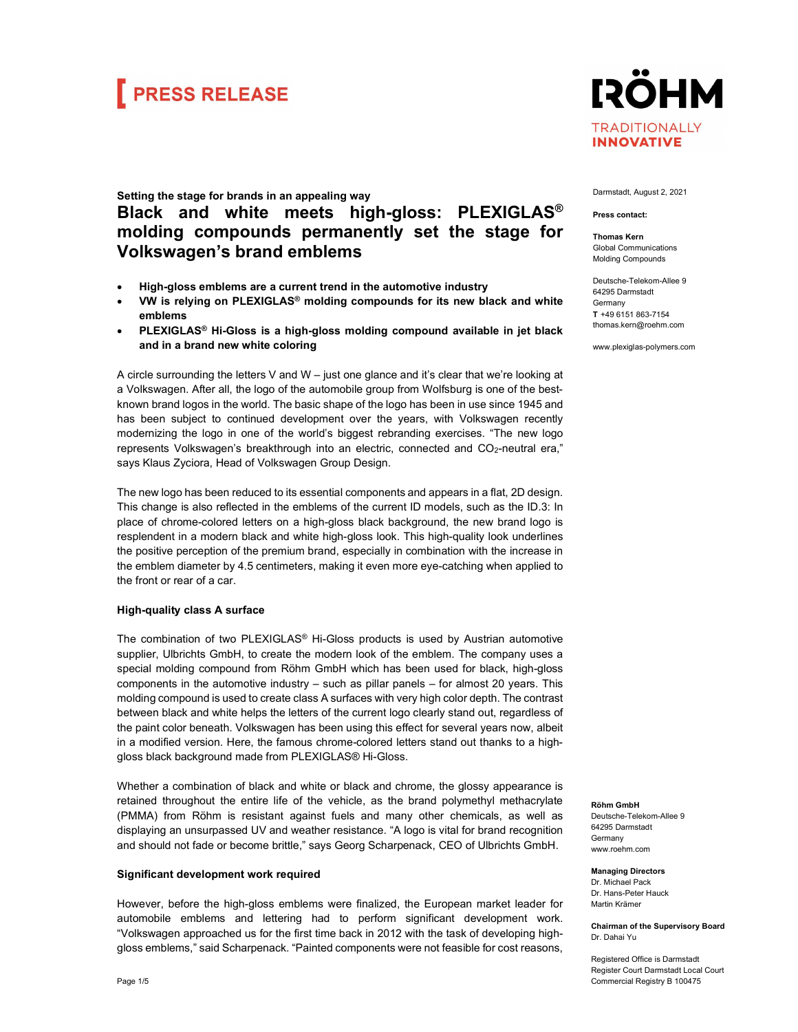## **FRESS RELEASE**

### **IRÖHM TRADITIONALLY INNOVATIVE**

### Setting the stage for brands in an appealing way Black and white meets high-gloss: PLEXIGLAS® molding compounds permanently set the stage for Volkswagen's brand emblems

- High-gloss emblems are a current trend in the automotive industry
- VW is relying on PLEXIGLAS® molding compounds for its new black and white emblems
- PLEXIGLAS® Hi-Gloss is a high-gloss molding compound available in jet black and in a brand new white coloring

A circle surrounding the letters V and W – just one glance and it's clear that we're looking at a Volkswagen. After all, the logo of the automobile group from Wolfsburg is one of the bestknown brand logos in the world. The basic shape of the logo has been in use since 1945 and has been subject to continued development over the years, with Volkswagen recently modernizing the logo in one of the world's biggest rebranding exercises. "The new logo represents Volkswagen's breakthrough into an electric, connected and CO<sub>2</sub>-neutral era," says Klaus Zyciora, Head of Volkswagen Group Design.

The new logo has been reduced to its essential components and appears in a flat, 2D design. This change is also reflected in the emblems of the current ID models, such as the ID.3: In place of chrome-colored letters on a high-gloss black background, the new brand logo is resplendent in a modern black and white high-gloss look. This high-quality look underlines the positive perception of the premium brand, especially in combination with the increase in the emblem diameter by 4.5 centimeters, making it even more eye-catching when applied to the front or rear of a car.

### High-quality class A surface

The combination of two PLEXIGLAS® Hi-Gloss products is used by Austrian automotive supplier, Ulbrichts GmbH, to create the modern look of the emblem. The company uses a special molding compound from Röhm GmbH which has been used for black, high-gloss components in the automotive industry – such as pillar panels – for almost 20 years. This molding compound is used to create class A surfaces with very high color depth. The contrast between black and white helps the letters of the current logo clearly stand out, regardless of the paint color beneath. Volkswagen has been using this effect for several years now, albeit in a modified version. Here, the famous chrome-colored letters stand out thanks to a highgloss black background made from PLEXIGLAS® Hi-Gloss.

Whether a combination of black and white or black and chrome, the glossy appearance is retained throughout the entire life of the vehicle, as the brand polymethyl methacrylate (PMMA) from Röhm is resistant against fuels and many other chemicals, as well as displaying an unsurpassed UV and weather resistance. "A logo is vital for brand recognition and should not fade or become brittle," says Georg Scharpenack, CEO of Ulbrichts GmbH.

### Significant development work required

However, before the high-gloss emblems were finalized, the European market leader for automobile emblems and lettering had to perform significant development work. "Volkswagen approached us for the first time back in 2012 with the task of developing highgloss emblems," said Scharpenack. "Painted components were not feasible for cost reasons,

#### Darmstadt, August 2, 2021

#### Press contact:

Thomas Kern Global Communications Molding Compounds

Deutsche-Telekom-Allee 9 64295 Darmstadt **Germany** T  +49 6151 863-7154 thomas.kern@roehm.com

www.plexiglas-polymers.com

Röhm GmbH Deutsche-Telekom-Allee 9 64295 Darmstadt **Germany** www.roehm.com

Managing Directors Dr. Michael Pack Dr. Hans-Peter Hauck Martin Krämer

Chairman of the Supervisory Board Dr. Dahai Yu

Registered Office is Darmstadt Register Court Darmstadt Local Court Commercial Registry B 100475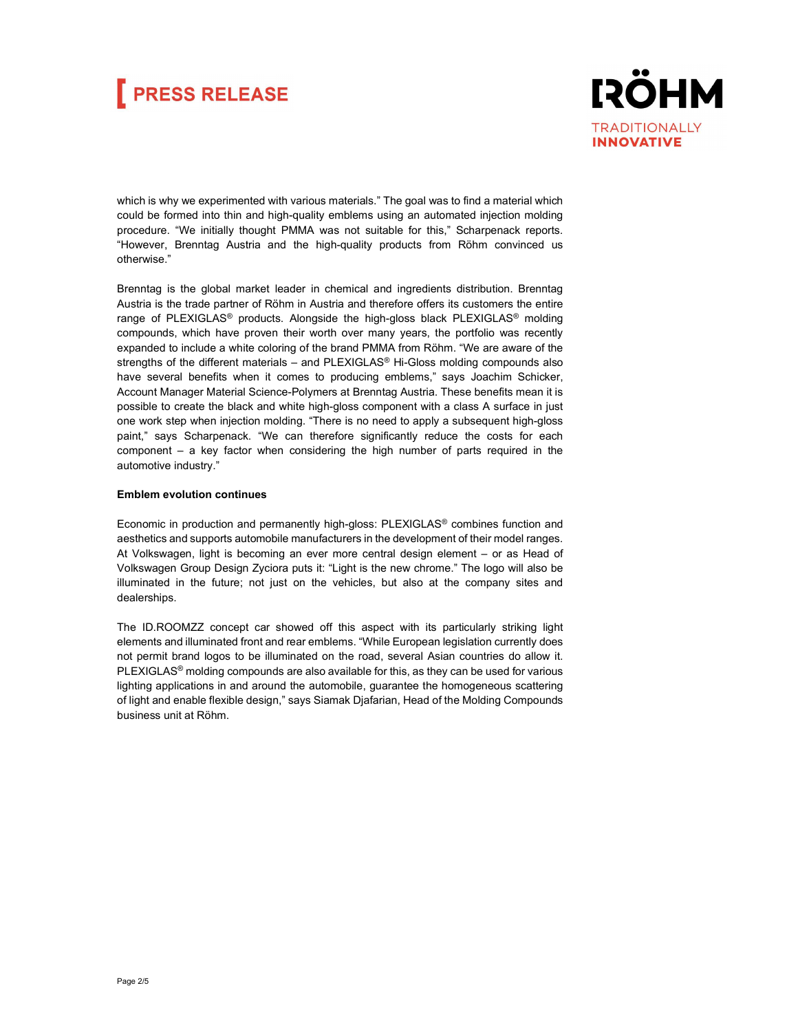## **FRESS RELEASE**



which is why we experimented with various materials." The goal was to find a material which could be formed into thin and high-quality emblems using an automated injection molding procedure. "We initially thought PMMA was not suitable for this," Scharpenack reports. "However, Brenntag Austria and the high-quality products from Röhm convinced us otherwise."

Brenntag is the global market leader in chemical and ingredients distribution. Brenntag Austria is the trade partner of Röhm in Austria and therefore offers its customers the entire range of PLEXIGLAS<sup>®</sup> products. Alongside the high-gloss black PLEXIGLAS<sup>®</sup> molding compounds, which have proven their worth over many years, the portfolio was recently expanded to include a white coloring of the brand PMMA from Röhm. "We are aware of the strengths of the different materials  $-$  and PLEXIGLAS<sup>®</sup> Hi-Gloss molding compounds also have several benefits when it comes to producing emblems," says Joachim Schicker, Account Manager Material Science-Polymers at Brenntag Austria. These benefits mean it is possible to create the black and white high-gloss component with a class A surface in just one work step when injection molding. "There is no need to apply a subsequent high-gloss paint," says Scharpenack. "We can therefore significantly reduce the costs for each component – a key factor when considering the high number of parts required in the automotive industry."

#### Emblem evolution continues

Economic in production and permanently high-gloss: PLEXIGLAS® combines function and aesthetics and supports automobile manufacturers in the development of their model ranges. At Volkswagen, light is becoming an ever more central design element – or as Head of Volkswagen Group Design Zyciora puts it: "Light is the new chrome." The logo will also be illuminated in the future; not just on the vehicles, but also at the company sites and dealerships.

The ID.ROOMZZ concept car showed off this aspect with its particularly striking light elements and illuminated front and rear emblems. "While European legislation currently does not permit brand logos to be illuminated on the road, several Asian countries do allow it.  $PLEXIGLAS<sup>®</sup>$  molding compounds are also available for this, as they can be used for various lighting applications in and around the automobile, guarantee the homogeneous scattering of light and enable flexible design," says Siamak Djafarian, Head of the Molding Compounds business unit at Röhm.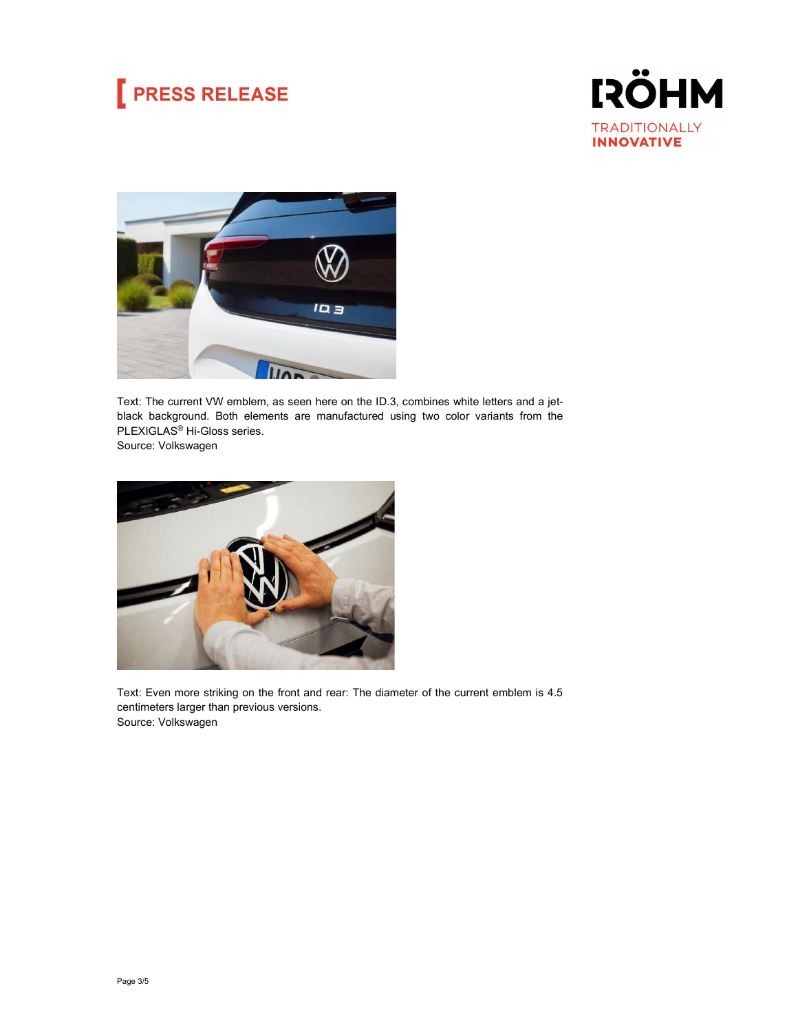## **PRESS RELEASE**





Text: The current VW emblem, as seen here on the ID.3, combines white letters and a jetblack background. Both elements are manufactured using two color variants from the PLEXIGLAS® Hi-Gloss series.

Source: Volkswagen



Text: Even more striking on the front and rear: The diameter of the current emblem is 4.5 centimeters larger than previous versions. Source: Volkswagen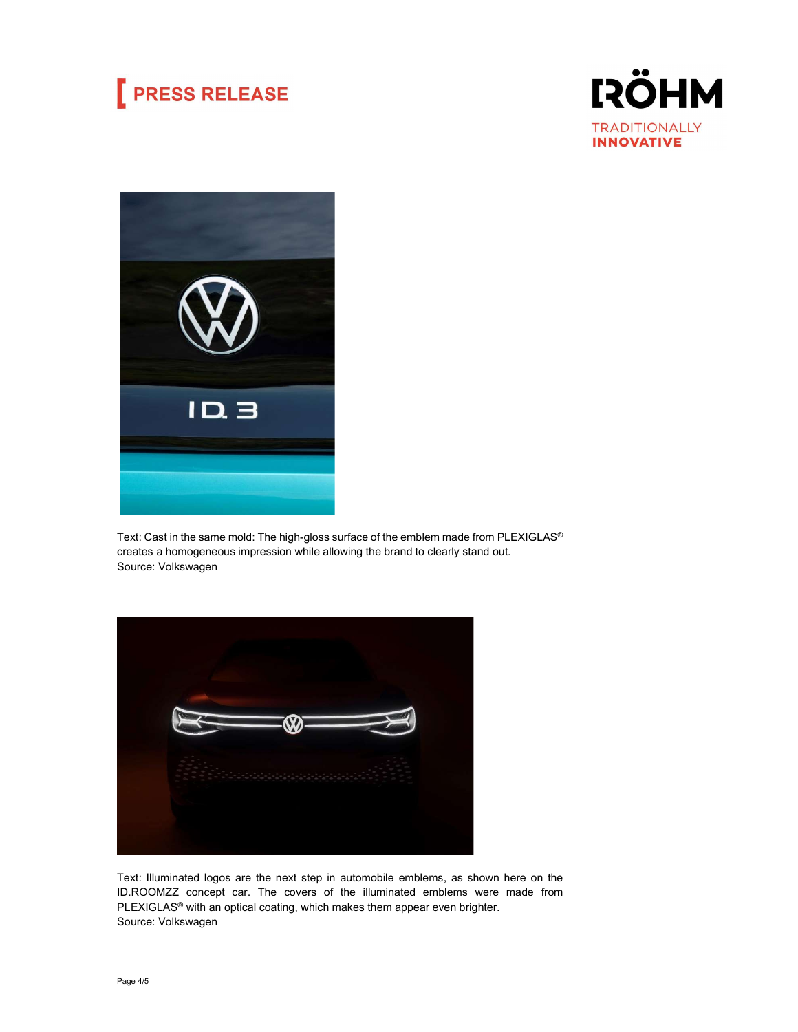### **PRESS RELEASE**





Text: Cast in the same mold: The high-gloss surface of the emblem made from PLEXIGLAS® creates a homogeneous impression while allowing the brand to clearly stand out. Source: Volkswagen



Text: Illuminated logos are the next step in automobile emblems, as shown here on the ID.ROOMZZ concept car. The covers of the illuminated emblems were made from PLEXIGLAS<sup>®</sup> with an optical coating, which makes them appear even brighter. Source: Volkswagen